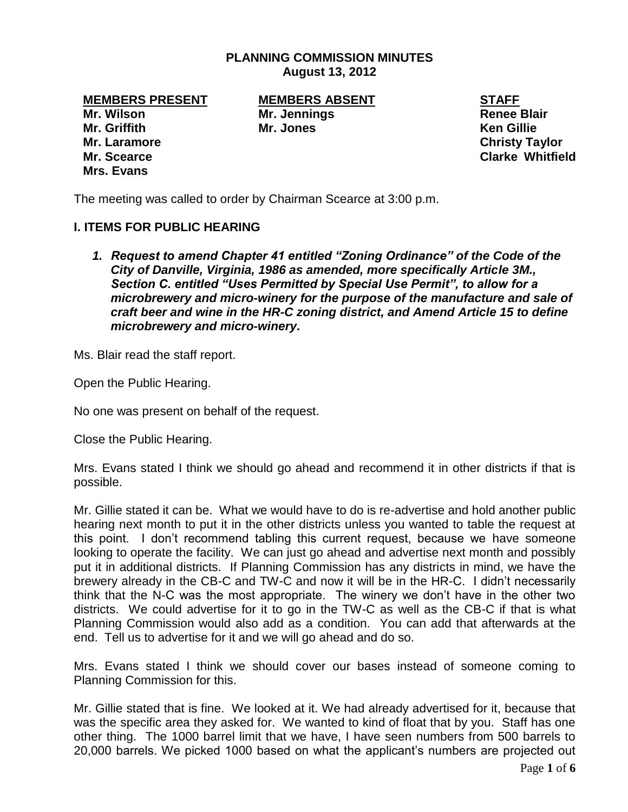## **PLANNING COMMISSION MINUTES August 13, 2012**

**Mr. Wilson Mr. Jennings Areas Accepts Mr. Jennings Areas Accepts Areas Blair Mr. Griffith Mr. Jones Ken Gillie Mr. Laramore Christy Taylor Mr. Scearce Clarke Whitfield Mrs. Evans**

**MEMBERS PRESENT MEMBERS ABSENT STAFF**

The meeting was called to order by Chairman Scearce at 3:00 p.m.

## **I. ITEMS FOR PUBLIC HEARING**

*1. Request to amend Chapter 41 entitled "Zoning Ordinance" of the Code of the City of Danville, Virginia, 1986 as amended, more specifically Article 3M., Section C. entitled "Uses Permitted by Special Use Permit", to allow for a microbrewery and micro-winery for the purpose of the manufacture and sale of craft beer and wine in the HR-C zoning district, and Amend Article 15 to define microbrewery and micro-winery.*

Ms. Blair read the staff report.

Open the Public Hearing.

No one was present on behalf of the request.

Close the Public Hearing.

Mrs. Evans stated I think we should go ahead and recommend it in other districts if that is possible.

Mr. Gillie stated it can be. What we would have to do is re-advertise and hold another public hearing next month to put it in the other districts unless you wanted to table the request at this point. I don't recommend tabling this current request, because we have someone looking to operate the facility. We can just go ahead and advertise next month and possibly put it in additional districts. If Planning Commission has any districts in mind, we have the brewery already in the CB-C and TW-C and now it will be in the HR-C. I didn't necessarily think that the N-C was the most appropriate. The winery we don't have in the other two districts. We could advertise for it to go in the TW-C as well as the CB-C if that is what Planning Commission would also add as a condition. You can add that afterwards at the end. Tell us to advertise for it and we will go ahead and do so.

Mrs. Evans stated I think we should cover our bases instead of someone coming to Planning Commission for this.

Mr. Gillie stated that is fine. We looked at it. We had already advertised for it, because that was the specific area they asked for. We wanted to kind of float that by you. Staff has one other thing. The 1000 barrel limit that we have, I have seen numbers from 500 barrels to 20,000 barrels. We picked 1000 based on what the applicant's numbers are projected out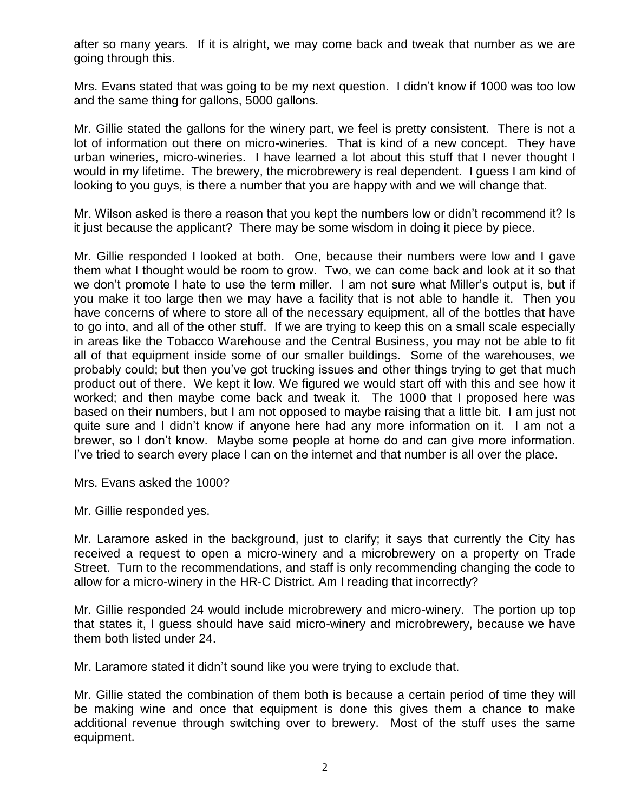after so many years. If it is alright, we may come back and tweak that number as we are going through this.

Mrs. Evans stated that was going to be my next question. I didn't know if 1000 was too low and the same thing for gallons, 5000 gallons.

Mr. Gillie stated the gallons for the winery part, we feel is pretty consistent. There is not a lot of information out there on micro-wineries. That is kind of a new concept. They have urban wineries, micro-wineries. I have learned a lot about this stuff that I never thought I would in my lifetime. The brewery, the microbrewery is real dependent. I guess I am kind of looking to you guys, is there a number that you are happy with and we will change that.

Mr. Wilson asked is there a reason that you kept the numbers low or didn't recommend it? Is it just because the applicant? There may be some wisdom in doing it piece by piece.

Mr. Gillie responded I looked at both. One, because their numbers were low and I gave them what I thought would be room to grow. Two, we can come back and look at it so that we don't promote I hate to use the term miller. I am not sure what Miller's output is, but if you make it too large then we may have a facility that is not able to handle it. Then you have concerns of where to store all of the necessary equipment, all of the bottles that have to go into, and all of the other stuff. If we are trying to keep this on a small scale especially in areas like the Tobacco Warehouse and the Central Business, you may not be able to fit all of that equipment inside some of our smaller buildings. Some of the warehouses, we probably could; but then you've got trucking issues and other things trying to get that much product out of there. We kept it low. We figured we would start off with this and see how it worked; and then maybe come back and tweak it. The 1000 that I proposed here was based on their numbers, but I am not opposed to maybe raising that a little bit. I am just not quite sure and I didn't know if anyone here had any more information on it. I am not a brewer, so I don't know. Maybe some people at home do and can give more information. I've tried to search every place I can on the internet and that number is all over the place.

Mrs. Evans asked the 1000?

Mr. Gillie responded yes.

Mr. Laramore asked in the background, just to clarify; it says that currently the City has received a request to open a micro-winery and a microbrewery on a property on Trade Street. Turn to the recommendations, and staff is only recommending changing the code to allow for a micro-winery in the HR-C District. Am I reading that incorrectly?

Mr. Gillie responded 24 would include microbrewery and micro-winery. The portion up top that states it, I guess should have said micro-winery and microbrewery, because we have them both listed under 24.

Mr. Laramore stated it didn't sound like you were trying to exclude that.

Mr. Gillie stated the combination of them both is because a certain period of time they will be making wine and once that equipment is done this gives them a chance to make additional revenue through switching over to brewery. Most of the stuff uses the same equipment.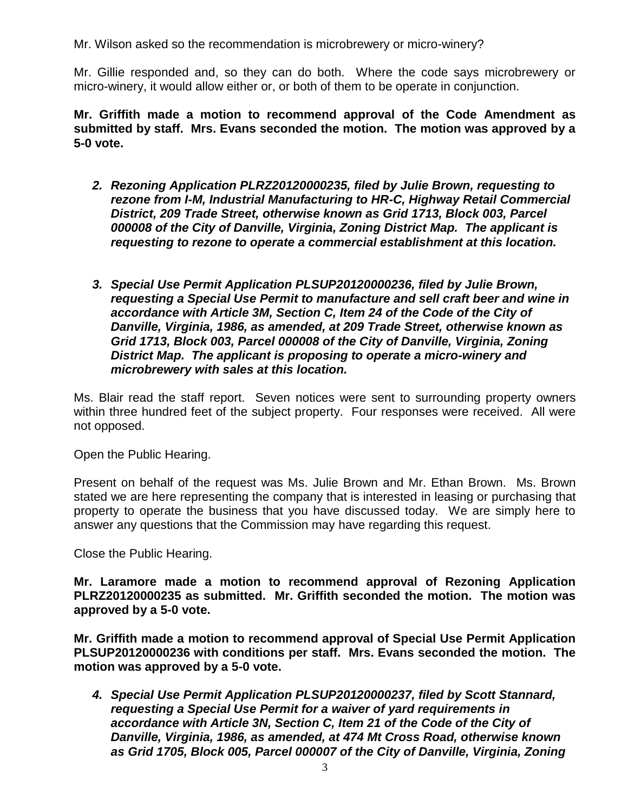Mr. Wilson asked so the recommendation is microbrewery or micro-winery?

Mr. Gillie responded and, so they can do both. Where the code says microbrewery or micro-winery, it would allow either or, or both of them to be operate in conjunction.

**Mr. Griffith made a motion to recommend approval of the Code Amendment as submitted by staff. Mrs. Evans seconded the motion. The motion was approved by a 5-0 vote.** 

- *2. Rezoning Application PLRZ20120000235, filed by Julie Brown, requesting to rezone from I-M, Industrial Manufacturing to HR-C, Highway Retail Commercial District, 209 Trade Street, otherwise known as Grid 1713, Block 003, Parcel 000008 of the City of Danville, Virginia, Zoning District Map. The applicant is requesting to rezone to operate a commercial establishment at this location.*
- *3. Special Use Permit Application PLSUP20120000236, filed by Julie Brown, requesting a Special Use Permit to manufacture and sell craft beer and wine in accordance with Article 3M, Section C, Item 24 of the Code of the City of Danville, Virginia, 1986, as amended, at 209 Trade Street, otherwise known as Grid 1713, Block 003, Parcel 000008 of the City of Danville, Virginia, Zoning District Map. The applicant is proposing to operate a micro-winery and microbrewery with sales at this location.*

Ms. Blair read the staff report. Seven notices were sent to surrounding property owners within three hundred feet of the subject property. Four responses were received. All were not opposed.

Open the Public Hearing.

Present on behalf of the request was Ms. Julie Brown and Mr. Ethan Brown. Ms. Brown stated we are here representing the company that is interested in leasing or purchasing that property to operate the business that you have discussed today. We are simply here to answer any questions that the Commission may have regarding this request.

Close the Public Hearing.

**Mr. Laramore made a motion to recommend approval of Rezoning Application PLRZ20120000235 as submitted. Mr. Griffith seconded the motion. The motion was approved by a 5-0 vote.**

**Mr. Griffith made a motion to recommend approval of Special Use Permit Application PLSUP20120000236 with conditions per staff. Mrs. Evans seconded the motion. The motion was approved by a 5-0 vote.**

*4. Special Use Permit Application PLSUP20120000237, filed by Scott Stannard, requesting a Special Use Permit for a waiver of yard requirements in accordance with Article 3N, Section C, Item 21 of the Code of the City of Danville, Virginia, 1986, as amended, at 474 Mt Cross Road, otherwise known as Grid 1705, Block 005, Parcel 000007 of the City of Danville, Virginia, Zoning*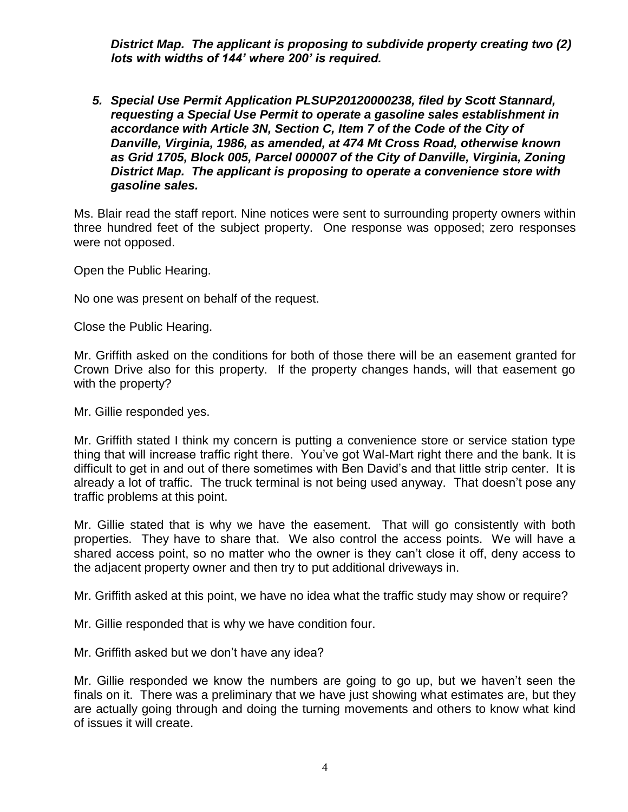*District Map. The applicant is proposing to subdivide property creating two (2) lots with widths of 144' where 200' is required.* 

*5. Special Use Permit Application PLSUP20120000238, filed by Scott Stannard, requesting a Special Use Permit to operate a gasoline sales establishment in accordance with Article 3N, Section C, Item 7 of the Code of the City of Danville, Virginia, 1986, as amended, at 474 Mt Cross Road, otherwise known as Grid 1705, Block 005, Parcel 000007 of the City of Danville, Virginia, Zoning District Map. The applicant is proposing to operate a convenience store with gasoline sales.* 

Ms. Blair read the staff report. Nine notices were sent to surrounding property owners within three hundred feet of the subject property. One response was opposed; zero responses were not opposed.

Open the Public Hearing.

No one was present on behalf of the request.

Close the Public Hearing.

Mr. Griffith asked on the conditions for both of those there will be an easement granted for Crown Drive also for this property. If the property changes hands, will that easement go with the property?

Mr. Gillie responded yes.

Mr. Griffith stated I think my concern is putting a convenience store or service station type thing that will increase traffic right there. You've got Wal-Mart right there and the bank. It is difficult to get in and out of there sometimes with Ben David's and that little strip center. It is already a lot of traffic. The truck terminal is not being used anyway. That doesn't pose any traffic problems at this point.

Mr. Gillie stated that is why we have the easement. That will go consistently with both properties. They have to share that. We also control the access points. We will have a shared access point, so no matter who the owner is they can't close it off, deny access to the adjacent property owner and then try to put additional driveways in.

Mr. Griffith asked at this point, we have no idea what the traffic study may show or require?

Mr. Gillie responded that is why we have condition four.

Mr. Griffith asked but we don't have any idea?

Mr. Gillie responded we know the numbers are going to go up, but we haven't seen the finals on it. There was a preliminary that we have just showing what estimates are, but they are actually going through and doing the turning movements and others to know what kind of issues it will create.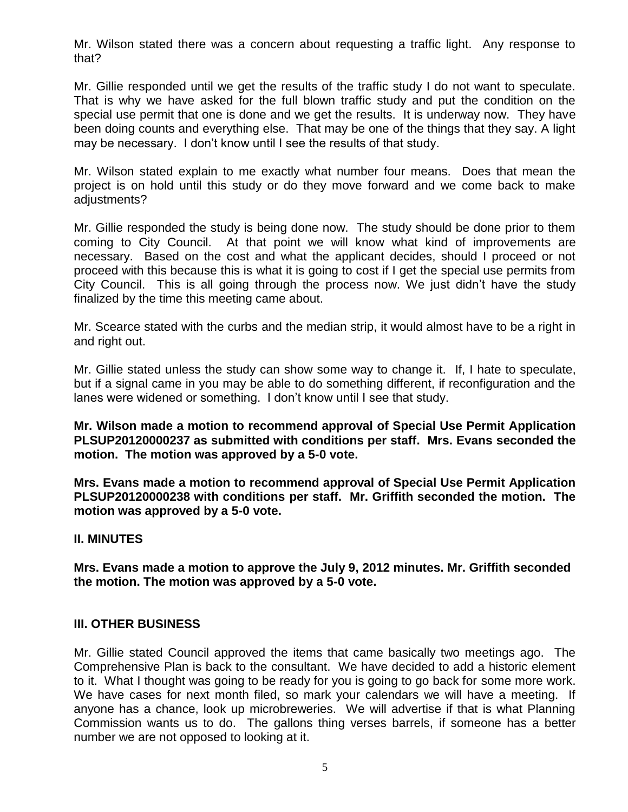Mr. Wilson stated there was a concern about requesting a traffic light. Any response to that?

Mr. Gillie responded until we get the results of the traffic study I do not want to speculate. That is why we have asked for the full blown traffic study and put the condition on the special use permit that one is done and we get the results. It is underway now. They have been doing counts and everything else. That may be one of the things that they say. A light may be necessary. I don't know until I see the results of that study.

Mr. Wilson stated explain to me exactly what number four means. Does that mean the project is on hold until this study or do they move forward and we come back to make adjustments?

Mr. Gillie responded the study is being done now. The study should be done prior to them coming to City Council. At that point we will know what kind of improvements are necessary. Based on the cost and what the applicant decides, should I proceed or not proceed with this because this is what it is going to cost if I get the special use permits from City Council. This is all going through the process now. We just didn't have the study finalized by the time this meeting came about.

Mr. Scearce stated with the curbs and the median strip, it would almost have to be a right in and right out.

Mr. Gillie stated unless the study can show some way to change it. If, I hate to speculate, but if a signal came in you may be able to do something different, if reconfiguration and the lanes were widened or something. I don't know until I see that study.

**Mr. Wilson made a motion to recommend approval of Special Use Permit Application PLSUP20120000237 as submitted with conditions per staff. Mrs. Evans seconded the motion. The motion was approved by a 5-0 vote.**

**Mrs. Evans made a motion to recommend approval of Special Use Permit Application PLSUP20120000238 with conditions per staff. Mr. Griffith seconded the motion. The motion was approved by a 5-0 vote.**

## **II. MINUTES**

**Mrs. Evans made a motion to approve the July 9, 2012 minutes. Mr. Griffith seconded the motion. The motion was approved by a 5-0 vote.**

## **III. OTHER BUSINESS**

Mr. Gillie stated Council approved the items that came basically two meetings ago. The Comprehensive Plan is back to the consultant. We have decided to add a historic element to it. What I thought was going to be ready for you is going to go back for some more work. We have cases for next month filed, so mark your calendars we will have a meeting. If anyone has a chance, look up microbreweries. We will advertise if that is what Planning Commission wants us to do. The gallons thing verses barrels, if someone has a better number we are not opposed to looking at it.